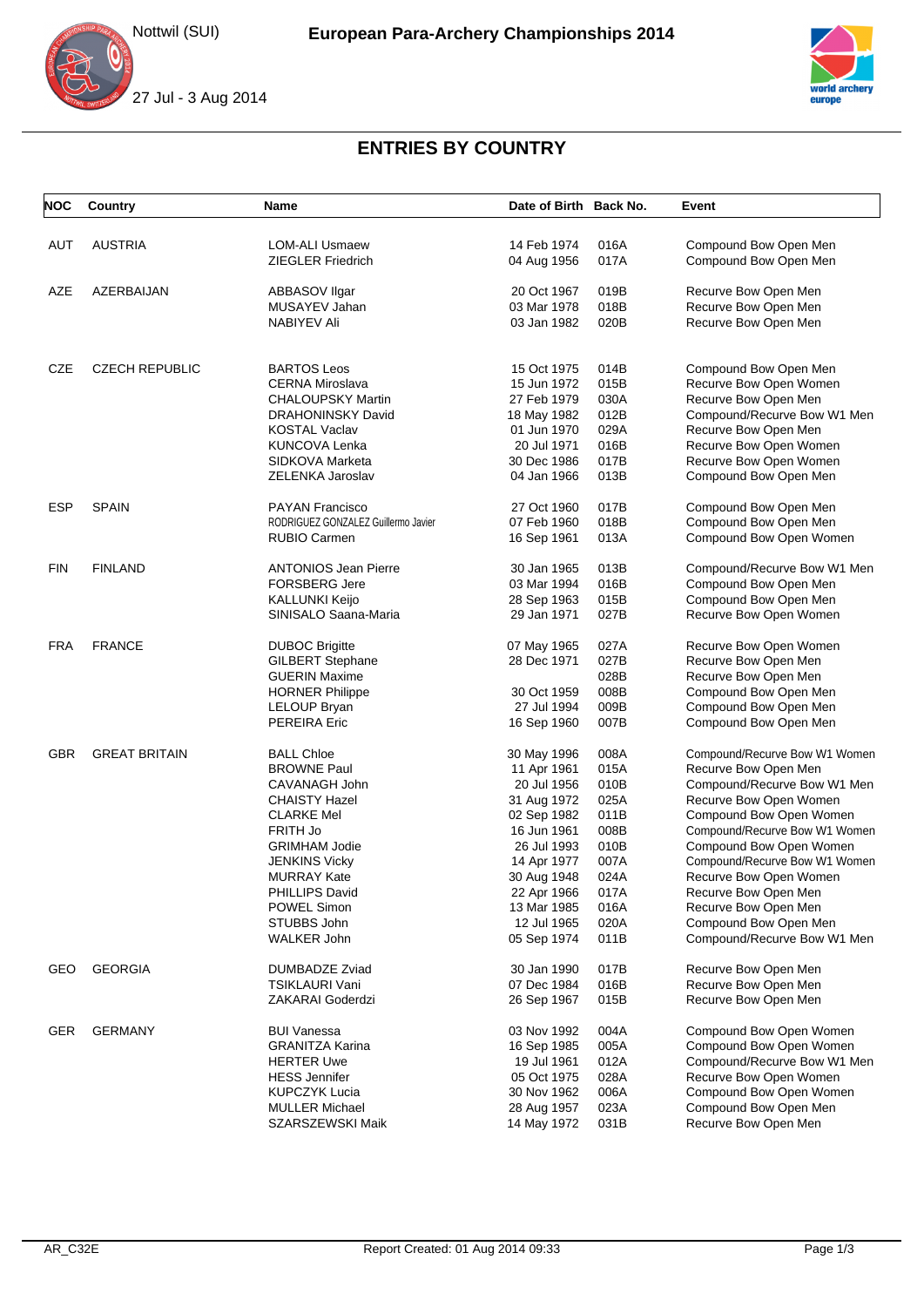Nottwil (SUI)





## **ENTRIES BY COUNTRY**

| <b>NOC</b> | Country               | Name                                       | Date of Birth Back No.     |              | Event                                          |
|------------|-----------------------|--------------------------------------------|----------------------------|--------------|------------------------------------------------|
|            |                       |                                            |                            |              |                                                |
| AUT        | <b>AUSTRIA</b>        | <b>LOM-ALI Usmaew</b><br>ZIEGLER Friedrich | 14 Feb 1974<br>04 Aug 1956 | 016A<br>017A | Compound Bow Open Men<br>Compound Bow Open Men |
|            |                       |                                            |                            |              |                                                |
| AZE        | AZERBAIJAN            | ABBASOV Ilgar                              | 20 Oct 1967                | 019B         | Recurve Bow Open Men                           |
|            |                       | MUSAYEV Jahan                              | 03 Mar 1978                | 018B         | Recurve Bow Open Men                           |
|            |                       | NABIYEV Ali                                | 03 Jan 1982                | 020B         | Recurve Bow Open Men                           |
| <b>CZE</b> | <b>CZECH REPUBLIC</b> | <b>BARTOS Leos</b>                         | 15 Oct 1975                | 014B         | Compound Bow Open Men                          |
|            |                       | <b>CERNA Miroslava</b>                     | 15 Jun 1972                | 015B         | Recurve Bow Open Women                         |
|            |                       | <b>CHALOUPSKY Martin</b>                   | 27 Feb 1979                | 030A         | Recurve Bow Open Men                           |
|            |                       | <b>DRAHONINSKY David</b>                   | 18 May 1982                | 012B         | Compound/Recurve Bow W1 Men                    |
|            |                       | <b>KOSTAL Vaclav</b>                       | 01 Jun 1970                | 029A         | Recurve Bow Open Men                           |
|            |                       | <b>KUNCOVA Lenka</b>                       | 20 Jul 1971                | 016B         | Recurve Bow Open Women                         |
|            |                       |                                            |                            | 017B         |                                                |
|            |                       | SIDKOVA Marketa                            | 30 Dec 1986                | 013B         | Recurve Bow Open Women                         |
|            |                       | ZELENKA Jaroslav                           | 04 Jan 1966                |              | Compound Bow Open Men                          |
| <b>ESP</b> | <b>SPAIN</b>          | <b>PAYAN Francisco</b>                     | 27 Oct 1960                | 017B         | Compound Bow Open Men                          |
|            |                       | RODRIGUEZ GONZALEZ Guillermo Javier        | 07 Feb 1960                | 018B         | Compound Bow Open Men                          |
|            |                       | <b>RUBIO Carmen</b>                        | 16 Sep 1961                | 013A         | Compound Bow Open Women                        |
| <b>FIN</b> | <b>FINLAND</b>        | <b>ANTONIOS Jean Pierre</b>                | 30 Jan 1965                | 013B         | Compound/Recurve Bow W1 Men                    |
|            |                       | <b>FORSBERG Jere</b>                       | 03 Mar 1994                | 016B         | Compound Bow Open Men                          |
|            |                       | <b>KALLUNKI Keijo</b>                      | 28 Sep 1963                | 015B         | Compound Bow Open Men                          |
|            |                       | SINISALO Saana-Maria                       | 29 Jan 1971                | 027B         | Recurve Bow Open Women                         |
|            |                       |                                            |                            |              |                                                |
| <b>FRA</b> | <b>FRANCE</b>         | <b>DUBOC Brigitte</b>                      | 07 May 1965                | 027A         | Recurve Bow Open Women                         |
|            |                       | <b>GILBERT Stephane</b>                    | 28 Dec 1971                | 027B         | Recurve Bow Open Men                           |
|            |                       | <b>GUERIN Maxime</b>                       |                            | 028B         | Recurve Bow Open Men                           |
|            |                       | <b>HORNER Philippe</b>                     | 30 Oct 1959                | 008B         | Compound Bow Open Men                          |
|            |                       | LELOUP Bryan                               | 27 Jul 1994                | 009B         | Compound Bow Open Men                          |
|            |                       | <b>PEREIRA Eric</b>                        | 16 Sep 1960                | 007B         | Compound Bow Open Men                          |
| <b>GBR</b> | <b>GREAT BRITAIN</b>  | <b>BALL Chloe</b>                          | 30 May 1996                | 008A         | Compound/Recurve Bow W1 Women                  |
|            |                       | <b>BROWNE Paul</b>                         | 11 Apr 1961                | 015A         | Recurve Bow Open Men                           |
|            |                       | CAVANAGH John                              | 20 Jul 1956                | 010B         | Compound/Recurve Bow W1 Men                    |
|            |                       | <b>CHAISTY Hazel</b>                       | 31 Aug 1972                | 025A         | Recurve Bow Open Women                         |
|            |                       | <b>CLARKE Mel</b>                          | 02 Sep 1982                | 011B         | Compound Bow Open Women                        |
|            |                       | FRITH Jo                                   | 16 Jun 1961                | 008B         | Compound/Recurve Bow W1 Women                  |
|            |                       | <b>GRIMHAM Jodie</b>                       | 26 Jul 1993                | 010B         | Compound Bow Open Women                        |
|            |                       | <b>JENKINS Vicky</b>                       | 14 Apr 1977                | 007A         | Compound/Recurve Bow W1 Women                  |
|            |                       | <b>MURRAY Kate</b>                         | 30 Aug 1948                | 024A         | Recurve Bow Open Women                         |
|            |                       | PHILLIPS David                             | 22 Apr 1966                | 017A         | Recurve Bow Open Men                           |
|            |                       | POWEL Simon                                | 13 Mar 1985                | 016A         | Recurve Bow Open Men                           |
|            |                       | STUBBS John                                | 12 Jul 1965                | 020A         | Compound Bow Open Men                          |
|            |                       | WALKER John                                | 05 Sep 1974                | 011B         | Compound/Recurve Bow W1 Men                    |
| GEO        | <b>GEORGIA</b>        | DUMBADZE Zviad                             | 30 Jan 1990                | 017B         | Recurve Bow Open Men                           |
|            |                       | TSIKLAURI Vani                             | 07 Dec 1984                | 016B         | Recurve Bow Open Men                           |
|            |                       | <b>ZAKARAI Goderdzi</b>                    | 26 Sep 1967                | 015B         | Recurve Bow Open Men                           |
| <b>GER</b> | <b>GERMANY</b>        | <b>BUI Vanessa</b>                         | 03 Nov 1992                | 004A         | Compound Bow Open Women                        |
|            |                       | <b>GRANITZA Karina</b>                     | 16 Sep 1985                | 005A         | Compound Bow Open Women                        |
|            |                       | <b>HERTER Uwe</b>                          | 19 Jul 1961                | 012A         | Compound/Recurve Bow W1 Men                    |
|            |                       | <b>HESS Jennifer</b>                       | 05 Oct 1975                | 028A         | Recurve Bow Open Women                         |
|            |                       | <b>KUPCZYK Lucia</b>                       | 30 Nov 1962                | 006A         | Compound Bow Open Women                        |
|            |                       | <b>MULLER Michael</b>                      | 28 Aug 1957                | 023A         | Compound Bow Open Men                          |
|            |                       | SZARSZEWSKI Maik                           | 14 May 1972                | 031B         | Recurve Bow Open Men                           |
|            |                       |                                            |                            |              |                                                |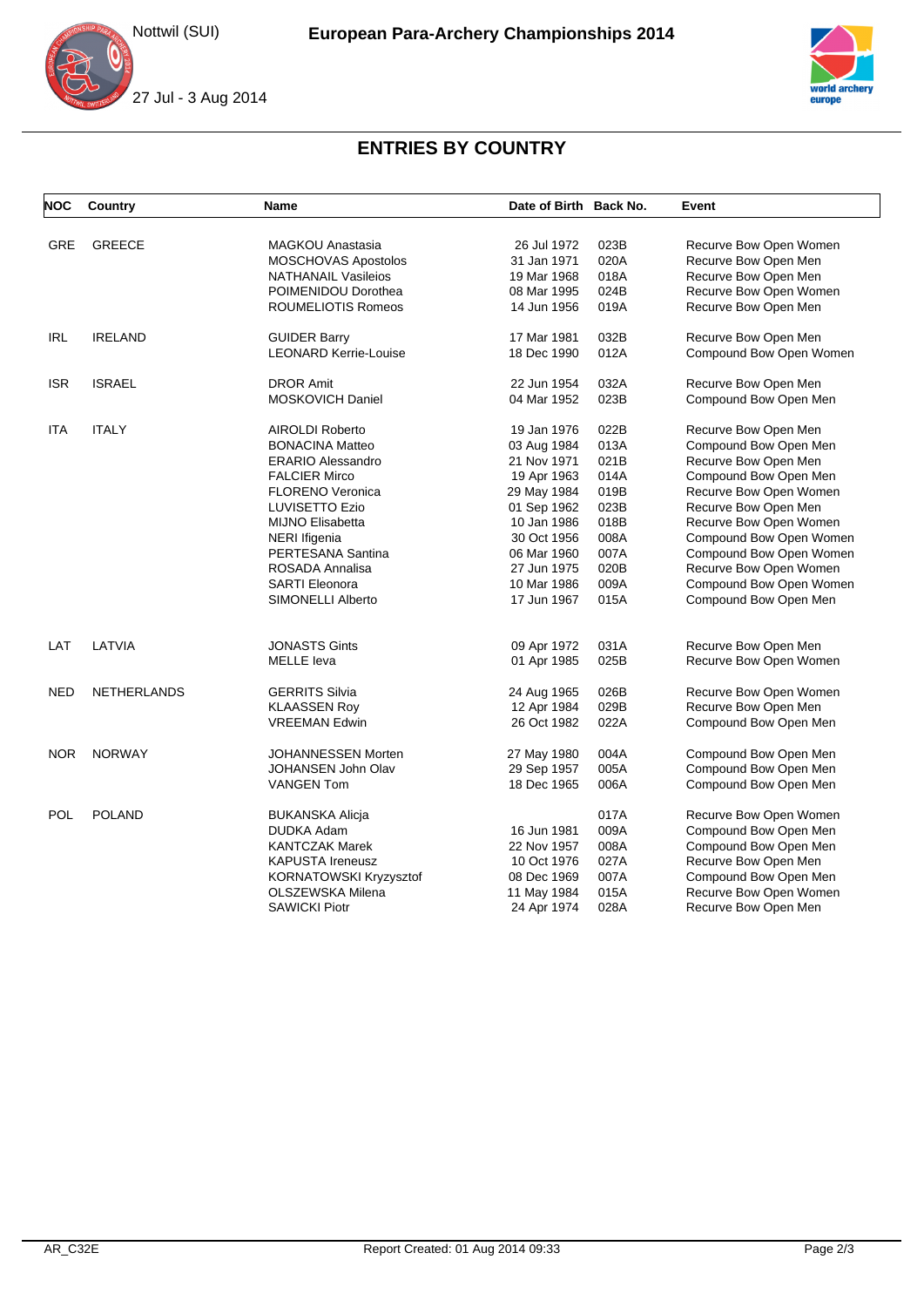Nottwil (SUI)





## **ENTRIES BY COUNTRY**

| <b>NOC</b> | Country        | <b>Name</b>                  | Date of Birth Back No. |      | Event                   |
|------------|----------------|------------------------------|------------------------|------|-------------------------|
| GRE        | <b>GREECE</b>  | <b>MAGKOU Anastasia</b>      | 26 Jul 1972            | 023B | Recurve Bow Open Women  |
|            |                | MOSCHOVAS Apostolos          | 31 Jan 1971            | 020A | Recurve Bow Open Men    |
|            |                | <b>NATHANAIL Vasileios</b>   | 19 Mar 1968            | 018A | Recurve Bow Open Men    |
|            |                | POIMENIDOU Dorothea          | 08 Mar 1995            | 024B | Recurve Bow Open Women  |
|            |                | ROUMELIOTIS Romeos           | 14 Jun 1956            | 019A | Recurve Bow Open Men    |
| <b>IRL</b> | <b>IRELAND</b> | <b>GUIDER Barry</b>          | 17 Mar 1981            | 032B | Recurve Bow Open Men    |
|            |                | <b>LEONARD Kerrie-Louise</b> | 18 Dec 1990            | 012A | Compound Bow Open Women |
| <b>ISR</b> | <b>ISRAEL</b>  | <b>DROR Amit</b>             | 22 Jun 1954            | 032A | Recurve Bow Open Men    |
|            |                | <b>MOSKOVICH Daniel</b>      | 04 Mar 1952            | 023B | Compound Bow Open Men   |
| <b>ITA</b> | <b>ITALY</b>   | AIROLDI Roberto              | 19 Jan 1976            | 022B | Recurve Bow Open Men    |
|            |                | <b>BONACINA Matteo</b>       | 03 Aug 1984            | 013A | Compound Bow Open Men   |
|            |                | <b>ERARIO Alessandro</b>     | 21 Nov 1971            | 021B | Recurve Bow Open Men    |
|            |                | <b>FALCIER Mirco</b>         | 19 Apr 1963            | 014A | Compound Bow Open Men   |
|            |                | <b>FLORENO Veronica</b>      | 29 May 1984            | 019B | Recurve Bow Open Women  |
|            |                | LUVISETTO Ezio               | 01 Sep 1962            | 023B | Recurve Bow Open Men    |
|            |                | <b>MIJNO Elisabetta</b>      | 10 Jan 1986            | 018B | Recurve Bow Open Women  |
|            |                | <b>NERI</b> Ifigenia         | 30 Oct 1956            | 008A | Compound Bow Open Women |
|            |                | PERTESANA Santina            | 06 Mar 1960            | 007A | Compound Bow Open Women |
|            |                | ROSADA Annalisa              | 27 Jun 1975            | 020B | Recurve Bow Open Women  |
|            |                | <b>SARTI Eleonora</b>        | 10 Mar 1986            | 009A | Compound Bow Open Women |
|            |                | SIMONELLI Alberto            | 17 Jun 1967            | 015A | Compound Bow Open Men   |
|            |                |                              |                        |      |                         |
| LAT        | LATVIA         | <b>JONASTS Gints</b>         | 09 Apr 1972            | 031A | Recurve Bow Open Men    |
|            |                | <b>MELLE</b> leva            | 01 Apr 1985            | 025B | Recurve Bow Open Women  |
| <b>NED</b> | NETHERLANDS    | <b>GERRITS Silvia</b>        | 24 Aug 1965            | 026B | Recurve Bow Open Women  |
|            |                | <b>KLAASSEN Roy</b>          | 12 Apr 1984            | 029B | Recurve Bow Open Men    |
|            |                | <b>VREEMAN Edwin</b>         | 26 Oct 1982            | 022A | Compound Bow Open Men   |
| <b>NOR</b> | <b>NORWAY</b>  | <b>JOHANNESSEN Morten</b>    | 27 May 1980            | 004A | Compound Bow Open Men   |
|            |                | JOHANSEN John Olav           | 29 Sep 1957            | 005A | Compound Bow Open Men   |
|            |                | <b>VANGEN Tom</b>            | 18 Dec 1965            | 006A | Compound Bow Open Men   |
| POL        | <b>POLAND</b>  | <b>BUKANSKA Alicja</b>       |                        | 017A | Recurve Bow Open Women  |
|            |                | DUDKA Adam                   | 16 Jun 1981            | 009A | Compound Bow Open Men   |
|            |                | <b>KANTCZAK Marek</b>        | 22 Nov 1957            | 008A | Compound Bow Open Men   |
|            |                | <b>KAPUSTA Ireneusz</b>      | 10 Oct 1976            | 027A | Recurve Bow Open Men    |
|            |                | KORNATOWSKI Kryzysztof       | 08 Dec 1969            | 007A | Compound Bow Open Men   |
|            |                | OLSZEWSKA Milena             | 11 May 1984            | 015A | Recurve Bow Open Women  |
|            |                | <b>SAWICKI Piotr</b>         | 24 Apr 1974            | 028A | Recurve Bow Open Men    |